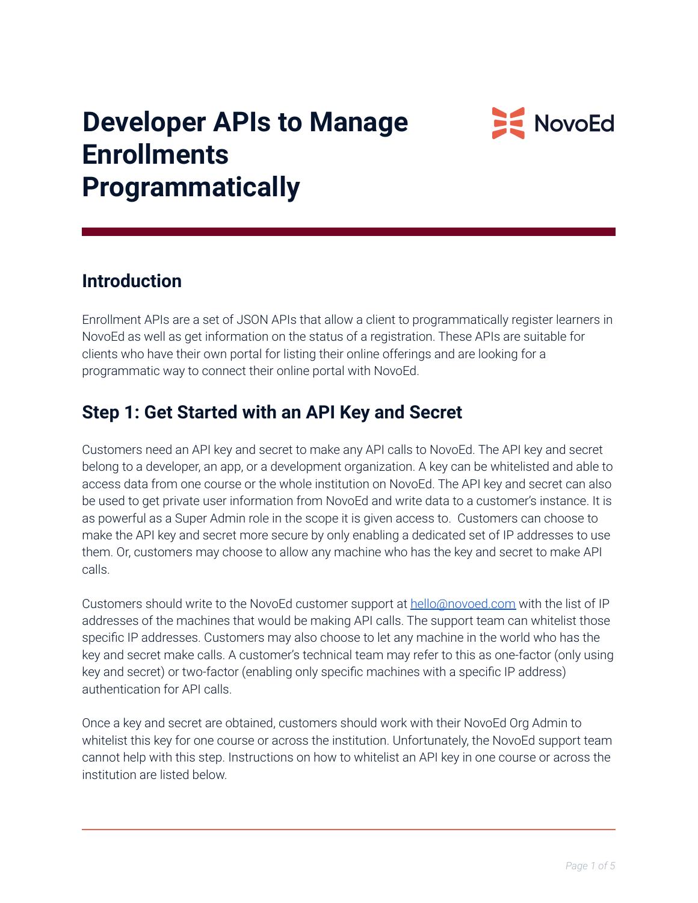

# **Developer APIs to Manage Enrollments Programmatically**

### **Introduction**

Enrollment APIs are a set of JSON APIs that allow a client to programmatically register learners in NovoEd as well as get information on the status of a registration. These APIs are suitable for clients who have their own portal for listing their online offerings and are looking for a programmatic way to connect their online portal with NovoEd.

# **Step 1: Get Started with an API Key and Secret**

Customers need an API key and secret to make any API calls to NovoEd. The API key and secret belong to a developer, an app, or a development organization. A key can be whitelisted and able to access data from one course or the whole institution on NovoEd. The API key and secret can also be used to get private user information from NovoEd and write data to a customer's instance. It is as powerful as a Super Admin role in the scope it is given access to. Customers can choose to make the API key and secret more secure by only enabling a dedicated set of IP addresses to use them. Or, customers may choose to allow any machine who has the key and secret to make API calls.

Customers should write to the NovoEd customer support at [hello@novoed.com](mailto:hello@novoed.com) with the list of IP addresses of the machines that would be making API calls. The support team can whitelist those specific IP addresses. Customers may also choose to let any machine in the world who has the key and secret make calls. A customer's technical team may refer to this as one-factor (only using key and secret) or two-factor (enabling only specific machines with a specific IP address) authentication for API calls.

Once a key and secret are obtained, customers should work with their NovoEd Org Admin to whitelist this key for one course or across the institution. Unfortunately, the NovoEd support team cannot help with this step. Instructions on how to whitelist an API key in one course or across the institution are listed below.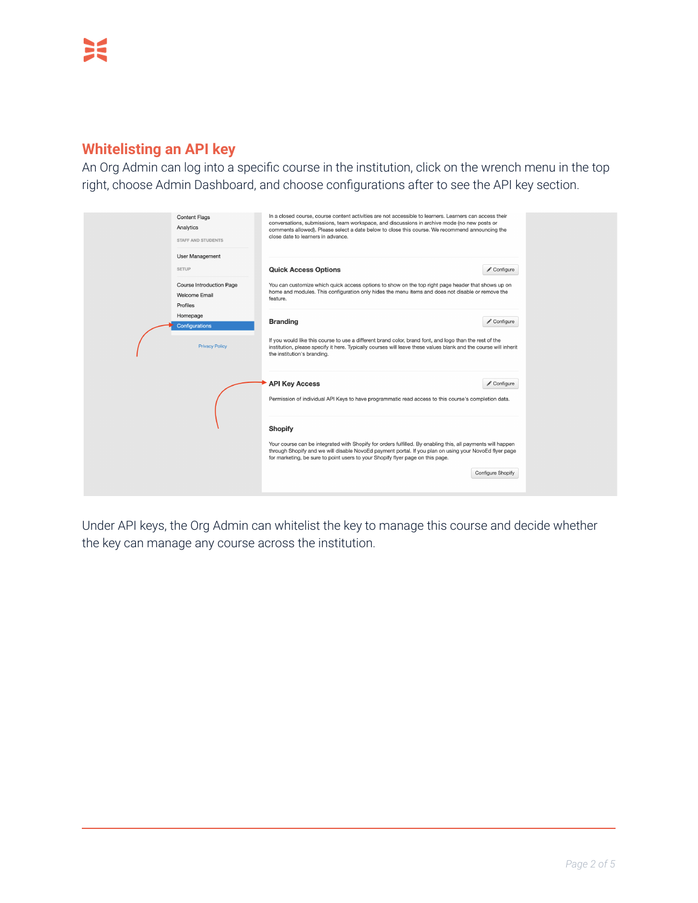### **Whitelisting an API key**

An Org Admin can log into a specific course in the institution, click on the wrench menu in the top right, choose Admin Dashboard, and choose configurations after to see the API key section.

| <b>Content Flags</b><br>Analytics<br><b>STAFF AND STUDENTS</b><br>User Management | In a closed course, course content activities are not accessible to learners. Learners can access their<br>conversations, submissions, team workspace, and discussions in archive mode (no new posts or<br>comments allowed). Please select a date below to close this course. We recommend announcing the<br>close date to learners in advance. |                   |  |
|-----------------------------------------------------------------------------------|--------------------------------------------------------------------------------------------------------------------------------------------------------------------------------------------------------------------------------------------------------------------------------------------------------------------------------------------------|-------------------|--|
| <b>SETUP</b>                                                                      | <b>Quick Access Options</b>                                                                                                                                                                                                                                                                                                                      | Configure         |  |
| Course Introduction Page<br>Welcome Email<br>Profiles                             | You can customize which quick access options to show on the top right page header that shows up on<br>home and modules. This configuration only hides the menu items and does not disable or remove the<br>feature.                                                                                                                              |                   |  |
| Homepage<br>Configurations                                                        | <b>Branding</b>                                                                                                                                                                                                                                                                                                                                  | Configure         |  |
| <b>Privacy Policy</b>                                                             | If you would like this course to use a different brand color, brand font, and logo than the rest of the<br>institution, please specify it here. Typically courses will leave these values blank and the course will inherit<br>the institution's branding.                                                                                       |                   |  |
|                                                                                   | <b>API Key Access</b><br>Permission of individual API Keys to have programmatic read access to this course's completion data.                                                                                                                                                                                                                    | Configure         |  |
|                                                                                   | <b>Shopify</b><br>Your course can be integrated with Shopify for orders fulfilled. By enabling this, all payments will happen<br>through Shopify and we will disable NovoEd payment portal. If you plan on using your NovoEd flyer page<br>for marketing, be sure to point users to your Shopify flyer page on this page.                        |                   |  |
|                                                                                   |                                                                                                                                                                                                                                                                                                                                                  | Configure Shopify |  |

Under API keys, the Org Admin can whitelist the key to manage this course and decide whether the key can manage any course across the institution.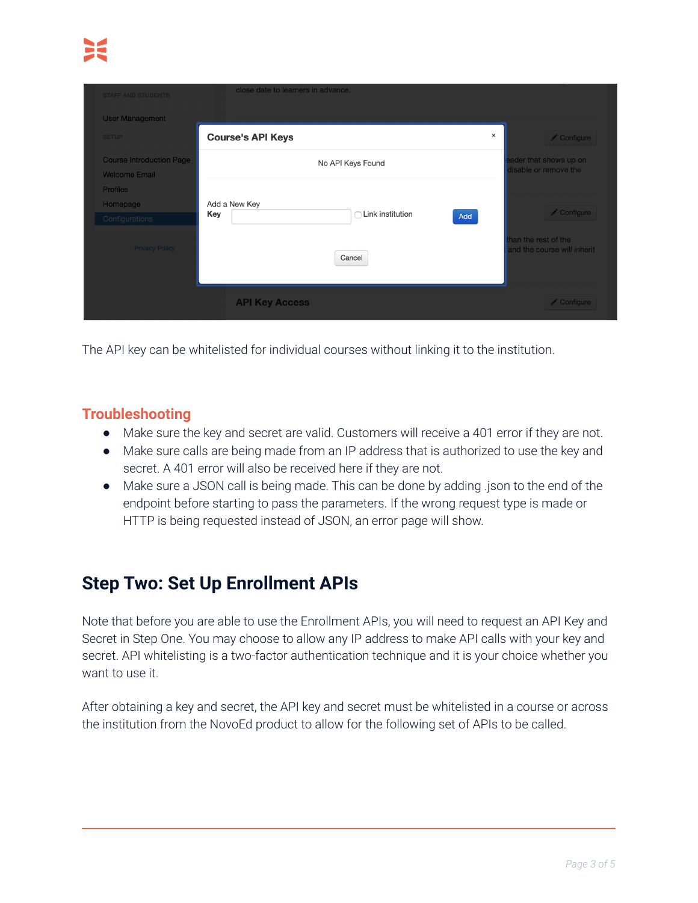| <b>STAFF AND STUDENTS</b>                               | close date to learners in advance.                     |          |                                                     |
|---------------------------------------------------------|--------------------------------------------------------|----------|-----------------------------------------------------|
| <b>User Management</b>                                  |                                                        |          |                                                     |
| <b>SETUP</b>                                            | <b>Course's API Keys</b>                               | $\times$ | Configure,                                          |
| <b>Course Introduction Page</b><br><b>Welcome Email</b> | No API Keys Found                                      |          | eader that shows up on<br>disable or remove the     |
| <b>Profiles</b><br>Homepage<br>Configurations           | Add a New Key<br>$\cap$ Link institution<br>Key<br>Add |          | Configure                                           |
| <b>Privacy Policy</b>                                   | Cancel                                                 |          | than the rest of the<br>and the course will inherit |
|                                                         | <b>API Key Access</b>                                  |          | Configure                                           |

The API key can be whitelisted for individual courses without linking it to the institution.

### **Troubleshooting**

- Make sure the key and secret are valid. Customers will receive a 401 error if they are not.
- Make sure calls are being made from an IP address that is authorized to use the key and secret. A 401 error will also be received here if they are not.
- Make sure a JSON call is being made. This can be done by adding .json to the end of the endpoint before starting to pass the parameters. If the wrong request type is made or HTTP is being requested instead of JSON, an error page will show.

# **Step Two: Set Up Enrollment APIs**

Note that before you are able to use the Enrollment APIs, you will need to request an API Key and Secret in Step One. You may choose to allow any IP address to make API calls with your key and secret. API whitelisting is a two-factor authentication technique and it is your choice whether you want to use it.

After obtaining a key and secret, the API key and secret must be whitelisted in a course or across the institution from the NovoEd product to allow for the following set of APIs to be called.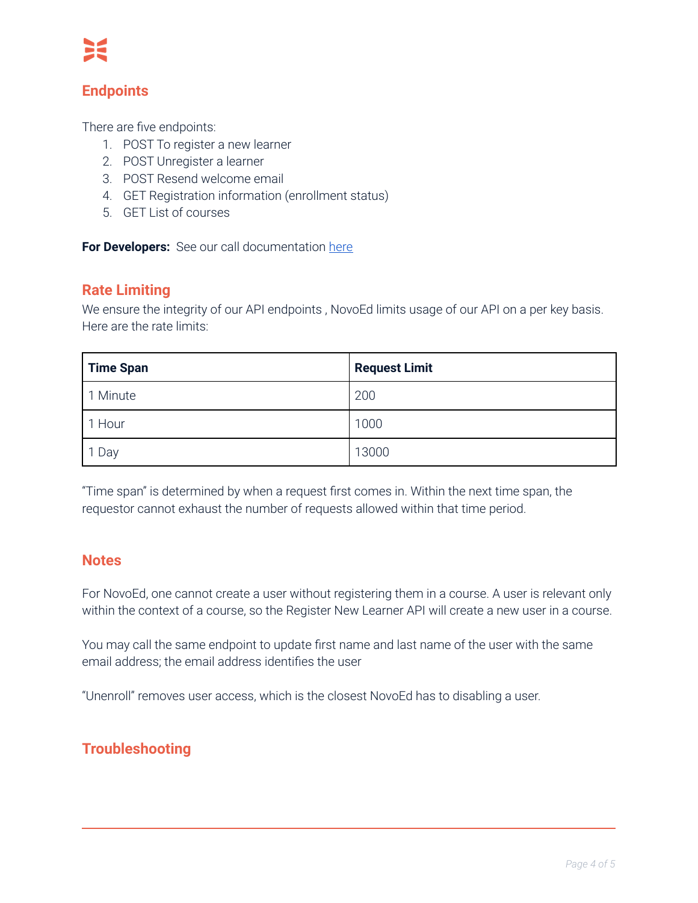### **Endpoints**

There are five endpoints:

- 1. POST To register a new learner
- 2. POST Unregister a learner
- 3. POST Resend welcome email
- 4. GET Registration information (enrollment status)
- 5. GET List of courses

**For Developers:** See our call documentation [here](https://documenter.getpostman.com/view/11719128/TVKBYHre)

#### **Rate Limiting**

We ensure the integrity of our API endpoints, NovoEd limits usage of our API on a per key basis. Here are the rate limits:

| <b>Time Span</b> | <b>Request Limit</b> |
|------------------|----------------------|
| 1 Minute         | 200                  |
| 1 Hour           | 1000                 |
| Day              | 13000                |

"Time span" is determined by when a request first comes in. Within the next time span, the requestor cannot exhaust the number of requests allowed within that time period.

#### **Notes**

For NovoEd, one cannot create a user without registering them in a course. A user is relevant only within the context of a course, so the Register New Learner API will create a new user in a course.

You may call the same endpoint to update first name and last name of the user with the same email address; the email address identifies the user

"Unenroll" removes user access, which is the closest NovoEd has to disabling a user.

### **Troubleshooting**